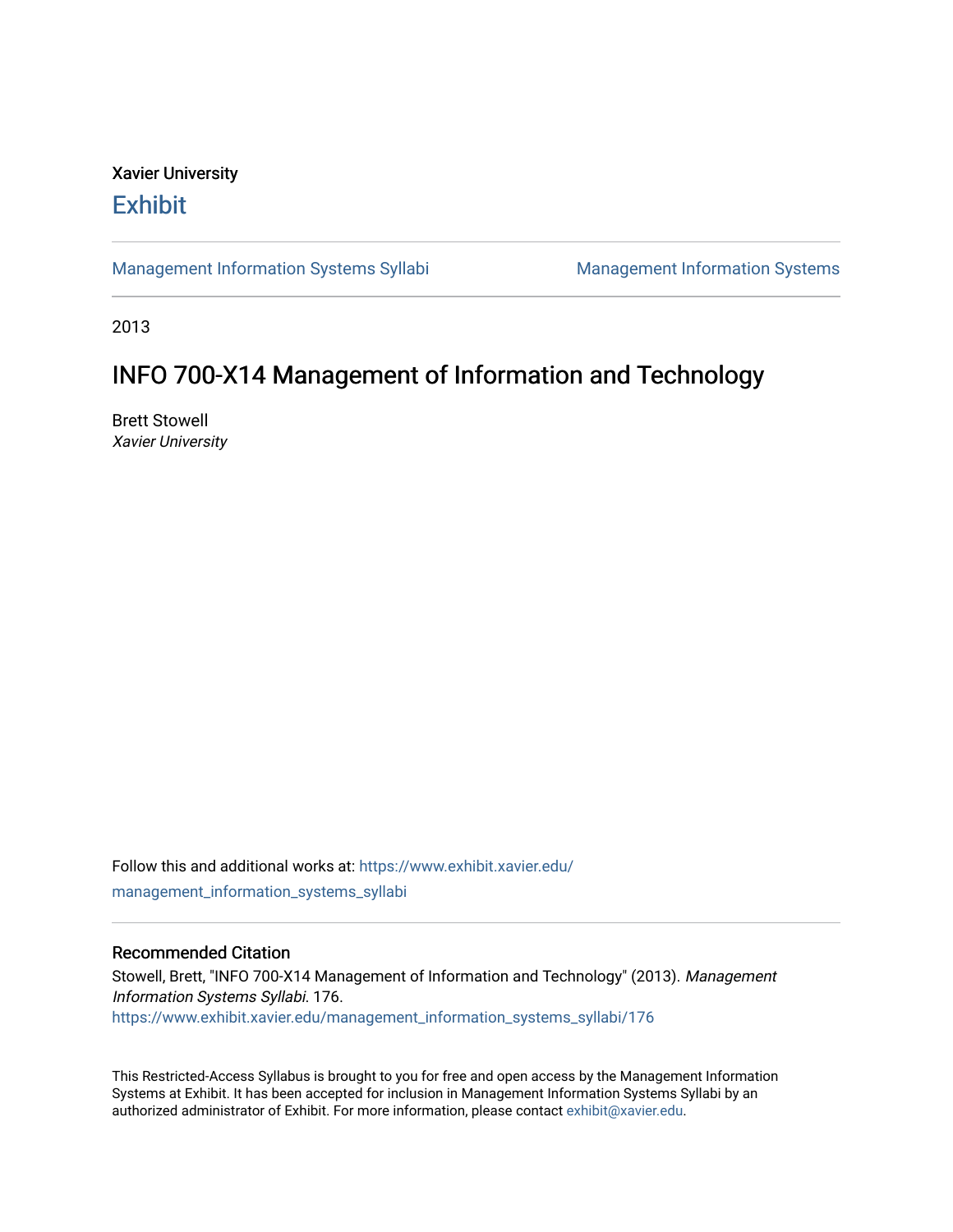### Xavier University **Exhibit**

[Management Information Systems Syllabi](https://www.exhibit.xavier.edu/management_information_systems_syllabi) Management Information Systems

2013

# INFO 700-X14 Management of Information and Technology

Brett Stowell Xavier University

Follow this and additional works at: [https://www.exhibit.xavier.edu/](https://www.exhibit.xavier.edu/management_information_systems_syllabi?utm_source=www.exhibit.xavier.edu%2Fmanagement_information_systems_syllabi%2F176&utm_medium=PDF&utm_campaign=PDFCoverPages) [management\\_information\\_systems\\_syllabi](https://www.exhibit.xavier.edu/management_information_systems_syllabi?utm_source=www.exhibit.xavier.edu%2Fmanagement_information_systems_syllabi%2F176&utm_medium=PDF&utm_campaign=PDFCoverPages) 

#### Recommended Citation

Stowell, Brett, "INFO 700-X14 Management of Information and Technology" (2013). Management Information Systems Syllabi. 176. [https://www.exhibit.xavier.edu/management\\_information\\_systems\\_syllabi/176](https://www.exhibit.xavier.edu/management_information_systems_syllabi/176?utm_source=www.exhibit.xavier.edu%2Fmanagement_information_systems_syllabi%2F176&utm_medium=PDF&utm_campaign=PDFCoverPages) 

This Restricted-Access Syllabus is brought to you for free and open access by the Management Information Systems at Exhibit. It has been accepted for inclusion in Management Information Systems Syllabi by an authorized administrator of Exhibit. For more information, please contact [exhibit@xavier.edu](mailto:exhibit@xavier.edu).